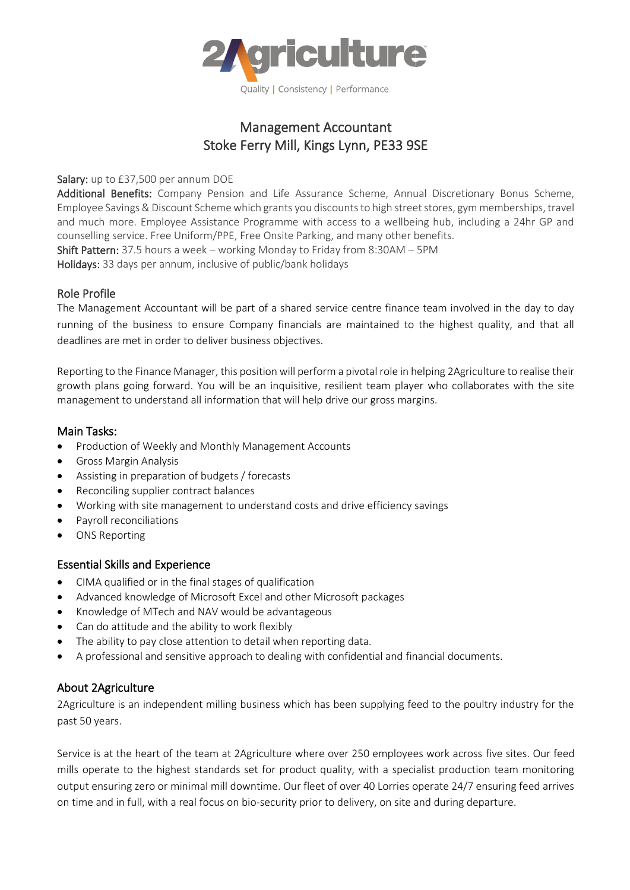

# Management Accountant Stoke Ferry Mill, Kings Lynn, PE33 9SE

Salary: up to £37,500 per annum DOE

Additional Benefits: Company Pension and Life Assurance Scheme, Annual Discretionary Bonus Scheme, Employee Savings & Discount Scheme which grants you discounts to high street stores, gym memberships, travel and much more. Employee Assistance Programme with access to a wellbeing hub, including a 24hr GP and counselling service. Free Uniform/PPE, Free Onsite Parking, and many other benefits. Shift Pattern: 37.5 hours a week – working Monday to Friday from 8:30AM – 5PM

Holidays: 33 days per annum, inclusive of public/bank holidays

### Role Profile

The Management Accountant will be part of a shared service centre finance team involved in the day to day running of the business to ensure Company financials are maintained to the highest quality, and that all deadlines are met in order to deliver business objectives.

Reporting to the Finance Manager, this position will perform a pivotal role in helping 2Agriculture to realise their growth plans going forward. You will be an inquisitive, resilient team player who collaborates with the site management to understand all information that will help drive our gross margins.

#### Main Tasks:

- Production of Weekly and Monthly Management Accounts
- Gross Margin Analysis
- Assisting in preparation of budgets / forecasts
- Reconciling supplier contract balances
- Working with site management to understand costs and drive efficiency savings
- Payroll reconciliations
- ONS Reporting

### Essential Skills and Experience

- CIMA qualified or in the final stages of qualification
- Advanced knowledge of Microsoft Excel and other Microsoft packages
- Knowledge of MTech and NAV would be advantageous
- Can do attitude and the ability to work flexibly
- The ability to pay close attention to detail when reporting data.
- A professional and sensitive approach to dealing with confidential and financial documents.

### About 2Agriculture

2Agriculture is an independent milling business which has been supplying feed to the poultry industry for the past 50 years.

Service is at the heart of the team at 2Agriculture where over 250 employees work across five sites. Our feed mills operate to the highest standards set for product quality, with a specialist production team monitoring output ensuring zero or minimal mill downtime. Our fleet of over 40 Lorries operate 24/7 ensuring feed arrives on time and in full, with a real focus on bio-security prior to delivery, on site and during departure.